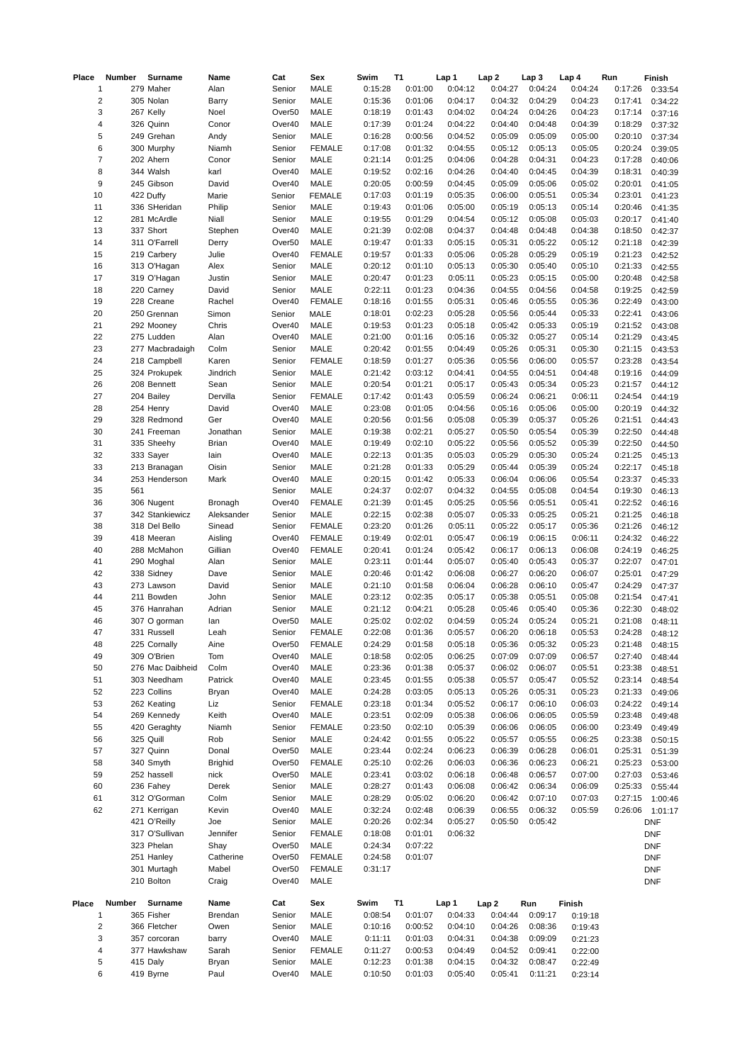| Place                   | Number | Surname          | Name           | Cat                | Sex           | Swim    | <b>T1</b> | Lap 1   | Lap <sub>2</sub> | Lap <sub>3</sub> | Lap 4   | Run     | Finish     |
|-------------------------|--------|------------------|----------------|--------------------|---------------|---------|-----------|---------|------------------|------------------|---------|---------|------------|
| $\mathbf 1$             |        | 279 Maher        | Alan           | Senior             | MALE          | 0:15:28 | 0:01:00   | 0:04:12 | 0:04:27          | 0:04:24          | 0:04:24 | 0:17:26 | 0:33:54    |
| $\overline{\mathbf{c}}$ |        | 305 Nolan        | Barry          | Senior             | <b>MALE</b>   | 0:15:36 | 0:01:06   | 0:04:17 | 0:04:32          | 0:04:29          | 0:04:23 | 0:17:41 | 0:34:22    |
| 3                       |        | 267 Kelly        | Noel           | Over <sub>50</sub> | MALE          | 0:18:19 | 0:01:43   | 0:04:02 | 0:04:24          | 0:04:26          | 0:04:23 | 0:17:14 | 0:37:16    |
| 4                       |        | 326 Quinn        | Conor          | Over40             | MALE          | 0:17:39 | 0:01:24   | 0:04:22 | 0:04:40          | 0:04:48          | 0:04:39 | 0:18:29 | 0:37:32    |
| 5                       |        | 249 Grehan       | Andy           | Senior             | <b>MALE</b>   | 0:16:28 | 0:00:56   | 0:04:52 | 0:05:09          | 0:05:09          | 0:05:00 | 0:20:10 | 0:37:34    |
| 6                       |        | 300 Murphy       | Niamh          | Senior             | <b>FEMALE</b> | 0:17:08 | 0:01:32   | 0:04:55 | 0:05:12          | 0:05:13          | 0:05:05 | 0:20:24 | 0:39:05    |
| $\overline{7}$          |        | 202 Ahern        | Conor          | Senior             | <b>MALE</b>   | 0:21:14 | 0:01:25   | 0:04:06 | 0:04:28          | 0:04:31          | 0:04:23 | 0:17:28 |            |
|                         |        |                  |                |                    |               |         |           |         |                  |                  |         |         | 0:40:06    |
| 8                       |        | 344 Walsh        | karl           | Over40             | MALE          | 0:19:52 | 0:02:16   | 0:04:26 | 0:04:40          | 0:04:45          | 0:04:39 | 0:18:31 | 0:40:39    |
| 9                       |        | 245 Gibson       | David          | Over40             | MALE          | 0:20:05 | 0:00:59   | 0:04:45 | 0:05:09          | 0:05:06          | 0:05:02 | 0:20:01 | 0:41:05    |
| 10                      |        | 422 Duffy        | Marie          | Senior             | <b>FEMALE</b> | 0:17:03 | 0:01:19   | 0:05:35 | 0:06:00          | 0:05:51          | 0:05:34 | 0:23:01 | 0:41:23    |
| $11\,$                  |        | 336 SHeridan     | Philip         | Senior             | MALE          | 0:19:43 | 0:01:06   | 0:05:00 | 0:05:19          | 0:05:13          | 0:05:14 | 0:20:46 | 0:41:35    |
| 12                      |        | 281 McArdle      | Niall          | Senior             | MALE          | 0:19:55 | 0:01:29   | 0:04:54 | 0:05:12          | 0:05:08          | 0:05:03 | 0:20:17 | 0:41:40    |
| 13                      |        | 337 Short        | Stephen        | Over40             | MALE          | 0:21:39 | 0:02:08   | 0:04:37 | 0:04:48          | 0:04:48          | 0:04:38 | 0:18:50 | 0:42:37    |
| 14                      |        | 311 O'Farrell    | Derry          | Over <sub>50</sub> | <b>MALE</b>   | 0:19:47 | 0:01:33   | 0:05:15 | 0:05:31          | 0:05:22          | 0:05:12 | 0:21:18 | 0:42:39    |
| 15                      |        | 219 Carbery      | Julie          | Over40             | <b>FEMALE</b> | 0:19:57 | 0:01:33   | 0:05:06 | 0:05:28          | 0:05:29          | 0:05:19 | 0:21:23 | 0:42:52    |
| 16                      |        | 313 O'Hagan      | Alex           | Senior             | <b>MALE</b>   | 0:20:12 | 0:01:10   | 0:05:13 | 0:05:30          | 0:05:40          | 0:05:10 | 0:21:33 | 0:42:55    |
| 17                      |        | 319 O'Hagan      | Justin         | Senior             | MALE          | 0:20:47 | 0:01:23   | 0:05:11 | 0:05:23          | 0:05:15          | 0:05:00 | 0:20:48 | 0:42:58    |
| 18                      |        | 220 Carney       | David          | Senior             | <b>MALE</b>   | 0:22:11 | 0:01:23   | 0:04:36 | 0:04:55          | 0:04:56          | 0:04:58 | 0:19:25 |            |
|                         |        |                  |                |                    |               |         |           |         |                  |                  |         |         | 0:42:59    |
| 19                      |        | 228 Creane       | Rachel         | Over40             | <b>FEMALE</b> | 0:18:16 | 0:01:55   | 0:05:31 | 0:05:46          | 0:05:55          | 0:05:36 | 0:22:49 | 0:43:00    |
| 20                      |        | 250 Grennan      | Simon          | Senior             | MALE          | 0:18:01 | 0:02:23   | 0:05:28 | 0:05:56          | 0:05:44          | 0:05:33 | 0:22:41 | 0:43:06    |
| 21                      |        | 292 Mooney       | Chris          | Over40             | MALE          | 0:19:53 | 0:01:23   | 0:05:18 | 0:05:42          | 0:05:33          | 0:05:19 | 0:21:52 | 0:43:08    |
| 22                      |        | 275 Ludden       | Alan           | Over40             | MALE          | 0:21:00 | 0:01:16   | 0:05:16 | 0:05:32          | 0:05:27          | 0:05:14 | 0:21:29 | 0:43:45    |
| 23                      |        | 277 Macbradaigh  | Colm           | Senior             | <b>MALE</b>   | 0:20:42 | 0:01:55   | 0:04:49 | 0:05:26          | 0:05:31          | 0:05:30 | 0:21:15 | 0:43:53    |
| 24                      |        | 218 Campbell     | Karen          | Senior             | <b>FEMALE</b> | 0:18:59 | 0:01:27   | 0:05:36 | 0:05:56          | 0:06:00          | 0:05:57 | 0:23:28 | 0:43:54    |
| 25                      |        | 324 Prokupek     | Jindrich       | Senior             | MALE          | 0:21:42 | 0:03:12   | 0:04:41 | 0:04:55          | 0:04:51          | 0:04:48 | 0:19:16 | 0:44:09    |
| 26                      |        | 208 Bennett      | Sean           | Senior             | <b>MALE</b>   | 0:20:54 | 0:01:21   | 0:05:17 | 0:05:43          | 0:05:34          | 0:05:23 | 0:21:57 | 0:44:12    |
| 27                      |        | 204 Bailey       | Dervilla       | Senior             | <b>FEMALE</b> | 0:17:42 | 0:01:43   | 0:05:59 | 0:06:24          | 0:06:21          | 0:06:11 | 0:24:54 | 0:44:19    |
| 28                      |        | 254 Henry        | David          | Over40             | <b>MALE</b>   | 0:23:08 | 0:01:05   | 0:04:56 | 0:05:16          | 0:05:06          | 0:05:00 | 0:20:19 | 0:44:32    |
|                         |        |                  |                |                    |               |         |           |         |                  |                  |         |         |            |
| 29                      |        | 328 Redmond      | Ger            | Over40             | MALE          | 0:20:56 | 0:01:56   | 0:05:08 | 0:05:39          | 0:05:37          | 0:05:26 | 0:21:51 | 0:44:43    |
| 30                      |        | 241 Freeman      | Jonathan       | Senior             | MALE          | 0:19:38 | 0:02:21   | 0:05:27 | 0:05:50          | 0:05:54          | 0:05:39 | 0:22:50 | 0:44:48    |
| 31                      |        | 335 Sheehy       | Brian          | Over40             | MALE          | 0:19:49 | 0:02:10   | 0:05:22 | 0:05:56          | 0:05:52          | 0:05:39 | 0:22:50 | 0:44:50    |
| 32                      |        | 333 Sayer        | lain           | Over40             | MALE          | 0:22:13 | 0:01:35   | 0:05:03 | 0:05:29          | 0:05:30          | 0:05:24 | 0:21:25 | 0:45:13    |
| 33                      |        | 213 Branagan     | Oisin          | Senior             | MALE          | 0:21:28 | 0:01:33   | 0:05:29 | 0:05:44          | 0:05:39          | 0:05:24 | 0:22:17 | 0:45:18    |
| 34                      |        | 253 Henderson    | Mark           | Over40             | MALE          | 0:20:15 | 0:01:42   | 0:05:33 | 0:06:04          | 0:06:06          | 0:05:54 | 0:23:37 | 0:45:33    |
| 35                      | 561    |                  |                | Senior             | <b>MALE</b>   | 0:24:37 | 0:02:07   | 0:04:32 | 0:04:55          | 0:05:08          | 0:04:54 | 0:19:30 | 0:46:13    |
| 36                      |        | 306 Nugent       | Bronagh        | Over40             | <b>FEMALE</b> | 0:21:39 | 0:01:45   | 0:05:25 | 0:05:56          | 0:05:51          | 0:05:41 | 0:22:52 | 0:46:16    |
| 37                      |        | 342 Stankiewicz  | Aleksander     | Senior             | <b>MALE</b>   | 0:22:15 | 0:02:38   | 0:05:07 | 0:05:33          | 0:05:25          | 0:05:21 | 0:21:25 | 0:46:18    |
| 38                      |        | 318 Del Bello    | Sinead         | Senior             | <b>FEMALE</b> | 0:23:20 | 0:01:26   | 0:05:11 | 0:05:22          | 0:05:17          | 0:05:36 | 0:21:26 | 0:46:12    |
| 39                      |        | 418 Meeran       | Aisling        | Over40             | <b>FEMALE</b> | 0:19:49 | 0:02:01   | 0:05:47 | 0:06:19          | 0:06:15          | 0:06:11 | 0:24:32 |            |
|                         |        |                  |                |                    |               |         |           |         |                  |                  |         |         | 0:46:22    |
| 40                      |        | 288 McMahon      | Gillian        | Over40             | <b>FEMALE</b> | 0:20:41 | 0:01:24   | 0:05:42 | 0:06:17          | 0:06:13          | 0:06:08 | 0:24:19 | 0:46:25    |
| 41                      |        | 290 Moghal       | Alan           | Senior             | <b>MALE</b>   | 0:23:11 | 0:01:44   | 0:05:07 | 0:05:40          | 0:05:43          | 0:05:37 | 0:22:07 | 0:47:01    |
| 42                      |        | 338 Sidney       | Dave           | Senior             | MALE          | 0:20:46 | 0:01:42   | 0:06:08 | 0:06:27          | 0:06:20          | 0:06:07 | 0:25:01 | 0:47:29    |
| 43                      |        | 273 Lawson       | David          | Senior             | MALE          | 0:21:10 | 0:01:58   | 0:06:04 | 0:06:28          | 0:06:10          | 0:05:47 | 0:24:29 | 0:47:37    |
| 44                      |        | 211 Bowden       | John           | Senior             | MALE          | 0:23:12 | 0:02:35   | 0:05:17 | 0:05:38          | 0:05:51          | 0:05:08 | 0:21:54 | 0:47:41    |
| 45                      |        | 376 Hanrahan     | Adrian         | Senior             | MALE          | 0:21:12 | 0:04:21   | 0:05:28 | 0:05:46          | 0:05:40          | 0:05:36 | 0:22:30 | 0:48:02    |
| 46                      |        | 307 O gorman     | lan            | Over50             | MALE          | 0:25:02 | 0:02:02   | 0:04:59 | 0:05:24          | 0:05:24          | 0:05:21 | 0:21:08 | 0:48:11    |
| 47                      |        | 331 Russell      | Leah           | Senior             | <b>FEMALE</b> | 0:22:08 | 0:01:36   | 0:05:57 | 0:06:20          | 0:06:18          | 0:05:53 | 0:24:28 | 0:48:12    |
| 48                      |        | 225 Cornally     | Aine           | Over <sub>50</sub> | <b>FEMALE</b> | 0:24:29 | 0:01:58   | 0:05:18 | 0:05:36          | 0:05:32          | 0:05:23 | 0:21:48 | 0:48:15    |
| 49                      |        | 309 O'Brien      | Tom            | Over40             | MALE          | 0:18:58 | 0:02:05   | 0:06:25 | 0:07:09          | 0:07:09          | 0:06:57 | 0:27:40 | 0:48:44    |
| 50                      |        | 276 Mac Daibheid | Colm           | Over40             | MALE          | 0:23:36 | 0:01:38   | 0:05:37 | 0:06:02          | 0:06:07          | 0:05:51 | 0:23:38 |            |
|                         |        |                  |                |                    |               |         |           |         |                  |                  |         |         | 0:48:51    |
| 51                      |        | 303 Needham      | Patrick        | Over40             | MALE          | 0:23:45 | 0:01:55   | 0:05:38 | 0:05:57          | 0:05:47          | 0:05:52 | 0:23:14 | 0:48:54    |
| 52                      |        | 223 Collins      | Bryan          | Over40             | MALE          | 0:24:28 | 0:03:05   | 0:05:13 | 0:05:26          | 0:05:31          | 0:05:23 | 0:21:33 | 0:49:06    |
| 53                      |        | 262 Keating      | Liz            | Senior             | <b>FEMALE</b> | 0:23:18 | 0:01:34   | 0:05:52 | 0:06:17          | 0:06:10          | 0:06:03 | 0:24:22 | 0:49:14    |
| 54                      |        | 269 Kennedy      | Keith          | Over40             | MALE          | 0:23:51 | 0:02:09   | 0:05:38 | 0:06:06          | 0:06:05          | 0:05:59 | 0:23:48 | 0:49:48    |
| 55                      |        | 420 Geraghty     | Niamh          | Senior             | <b>FEMALE</b> | 0:23:50 | 0:02:10   | 0:05:39 | 0:06:06          | 0:06:05          | 0:06:00 | 0:23:49 | 0:49:49    |
| 56                      |        | 325 Quill        | Rob            | Senior             | MALE          | 0:24:42 | 0:01:55   | 0:05:22 | 0:05:57          | 0:05:55          | 0:06:25 | 0:23:38 | 0:50:15    |
| 57                      |        | 327 Quinn        | Donal          | Over <sub>50</sub> | MALE          | 0:23:44 | 0:02:24   | 0:06:23 | 0:06:39          | 0:06:28          | 0:06:01 | 0:25:31 | 0:51:39    |
| 58                      |        | 340 Smyth        | <b>Brighid</b> | Over <sub>50</sub> | <b>FEMALE</b> | 0:25:10 | 0:02:26   | 0:06:03 | 0:06:36          | 0:06:23          | 0:06:21 | 0:25:23 | 0:53:00    |
| 59                      |        | 252 hassell      | nick           | Over <sub>50</sub> | <b>MALE</b>   | 0:23:41 | 0:03:02   | 0:06:18 | 0:06:48          | 0:06:57          | 0:07:00 | 0:27:03 | 0:53:46    |
| 60                      |        | 236 Fahey        | Derek          | Senior             | MALE          | 0:28:27 | 0:01:43   | 0:06:08 | 0:06:42          | 0:06:34          | 0:06:09 | 0:25:33 | 0:55:44    |
|                         |        |                  |                |                    |               |         |           |         |                  |                  |         |         |            |
| 61                      |        | 312 O'Gorman     | Colm           | Senior             | MALE          | 0:28:29 | 0:05:02   | 0:06:20 | 0:06:42          | 0:07:10          | 0:07:03 | 0:27:15 | 1:00:46    |
| 62                      |        | 271 Kerrigan     | Kevin          | Over40             | MALE          | 0:32:24 | 0:02:48   | 0:06:39 | 0:06:55          | 0:06:32          | 0:05:59 | 0:26:06 | 1:01:17    |
|                         |        | 421 O'Reilly     | Joe            | Senior             | MALE          | 0:20:26 | 0:02:34   | 0:05:27 | 0:05:50          | 0:05:42          |         |         | <b>DNF</b> |
|                         |        | 317 O'Sullivan   | Jennifer       | Senior             | <b>FEMALE</b> | 0:18:08 | 0:01:01   | 0:06:32 |                  |                  |         |         | <b>DNF</b> |
|                         |        | 323 Phelan       | Shay           | Over <sub>50</sub> | MALE          | 0:24:34 | 0:07:22   |         |                  |                  |         |         | <b>DNF</b> |
|                         |        | 251 Hanley       | Catherine      | Over <sub>50</sub> | <b>FEMALE</b> | 0:24:58 | 0:01:07   |         |                  |                  |         |         | <b>DNF</b> |
|                         |        | 301 Murtagh      | Mabel          | Over <sub>50</sub> | <b>FEMALE</b> | 0:31:17 |           |         |                  |                  |         |         | <b>DNF</b> |
|                         |        | 210 Bolton       | Craig          | Over40             | <b>MALE</b>   |         |           |         |                  |                  |         |         | DNF        |
|                         |        |                  |                |                    |               |         |           |         |                  |                  |         |         |            |
| Place                   | Number | Surname          | Name           | Cat                | Sex           | Swim    | <b>T1</b> | Lap 1   | Lap <sub>2</sub> | Run              | Finish  |         |            |
| $\mathbf 1$             |        | 365 Fisher       | Brendan        | Senior             | MALE          | 0:08:54 | 0:01:07   | 0:04:33 | 0:04:44          | 0:09:17          |         |         |            |
|                         |        |                  |                |                    |               |         |           |         |                  |                  | 0:19:18 |         |            |
| 2                       |        | 366 Fletcher     | Owen           | Senior             | MALE          | 0:10:16 | 0:00:52   | 0:04:10 | 0:04:26          | 0:08:36          | 0:19:43 |         |            |
| 3                       |        | 357 corcoran     | barry          | Over40             | MALE          | 0:11:11 | 0:01:03   | 0:04:31 | 0:04:38          | 0:09:09          | 0:21:23 |         |            |
| 4                       |        | 377 Hawkshaw     | Sarah          | Senior             | <b>FEMALE</b> | 0:11:27 | 0:00:53   | 0:04:49 | 0:04:52          | 0:09:41          | 0:22:00 |         |            |
| 5                       |        | 415 Daly         | Bryan          | Senior             | <b>MALE</b>   | 0:12:23 | 0:01:38   | 0:04:15 | 0:04:32          | 0:08:47          | 0:22:49 |         |            |
| 6                       |        | 419 Byrne        | Paul           | Over40             | MALE          | 0:10:50 | 0:01:03   | 0:05:40 | 0:05:41          | 0:11:21          | 0:23:14 |         |            |